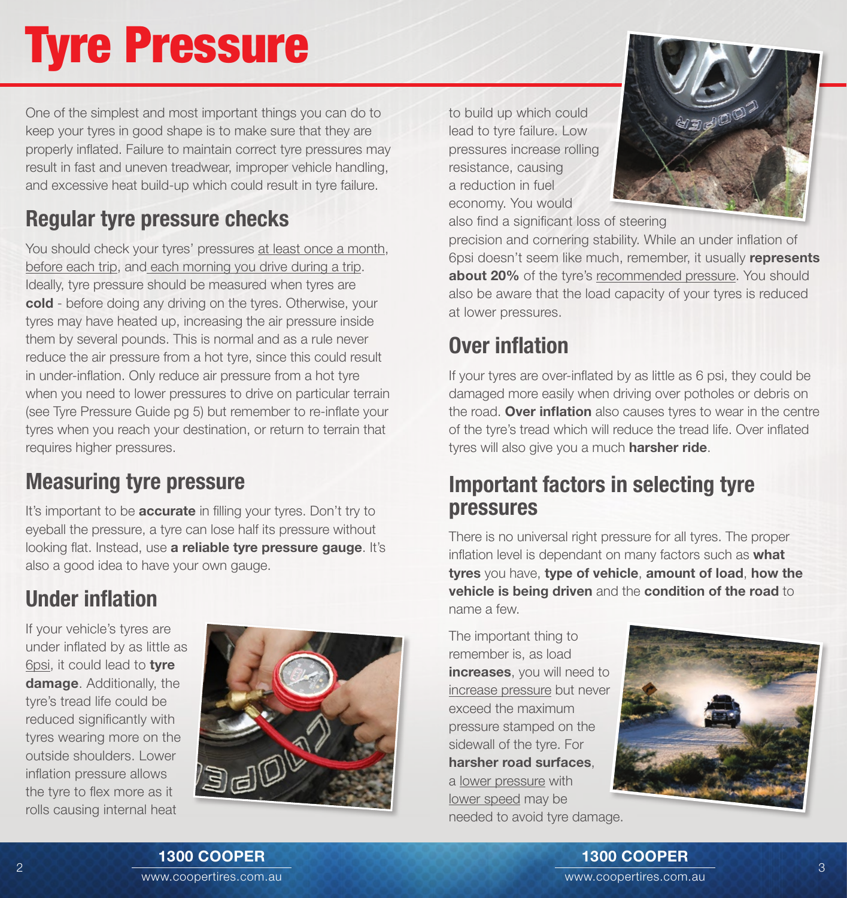# Tyre Pressure

One of the simplest and most important things you can do to keep your tyres in good shape is to make sure that they are properly inflated. Failure to maintain correct tyre pressures may result in fast and uneven treadwear, improper vehicle handling, and excessive heat build-up which could result in tyre failure.

# Regular tyre pressure checks

You should check your tyres' pressures at least once a month, before each trip, and each morning you drive during a trip. Ideally, tyre pressure should be measured when tyres are cold - before doing any driving on the tyres. Otherwise, your tyres may have heated up, increasing the air pressure inside them by several pounds. This is normal and as a rule never reduce the air pressure from a hot tyre, since this could result in under-inflation. Only reduce air pressure from a hot tyre when you need to lower pressures to drive on particular terrain (see Tyre Pressure Guide pg 5) but remember to re-inflate your tyres when you reach your destination, or return to terrain that requires higher pressures.

## Measuring tyre pressure

It's important to be **accurate** in filling your tyres. Don't try to eyeball the pressure, a tyre can lose half its pressure without looking flat. Instead, use a reliable tyre pressure gauge. It's also a good idea to have your own gauge.

# Under inflation

If your vehicle's tyres are under inflated by as little as 6psi, it could lead to tyre damage. Additionally, the tyre's tread life could be reduced significantly with tyres wearing more on the outside shoulders. Lower inflation pressure allows the tyre to flex more as it rolls causing internal heat



to build up which could lead to tyre failure. Low pressures increase rolling resistance, causing a reduction in fuel economy. You would also find a significant loss of steering



precision and cornering stability. While an under inflation of 6psi doesn't seem like much, remember, it usually represents about 20% of the tyre's recommended pressure. You should also be aware that the load capacity of your tyres is reduced at lower pressures.

## Over inflation

If your tyres are over-inflated by as little as 6 psi, they could be damaged more easily when driving over potholes or debris on the road. Over inflation also causes tyres to wear in the centre of the tyre's tread which will reduce the tread life. Over inflated tyres will also give you a much harsher ride.

#### Important factors in selecting tyre pressures

There is no universal right pressure for all tyres. The proper inflation level is dependant on many factors such as what tyres you have, type of vehicle, amount of load, how the vehicle is being driven and the condition of the road to name a few.

The important thing to remember is, as load increases, you will need to increase pressure but never exceed the maximum pressure stamped on the sidewall of the tyre. For harsher road surfaces, a lower pressure with lower speed may be needed to avoid tyre damage.

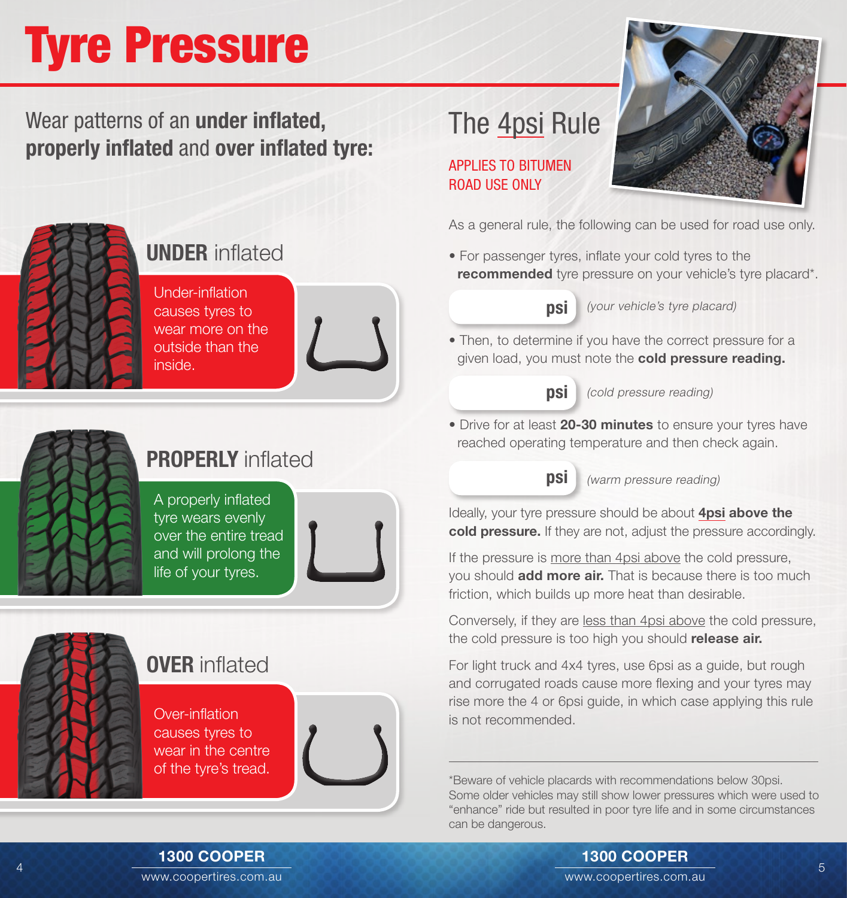# Tyre Pressure

Wear patterns of an under inflated, properly inflated and over inflated tyre:



### UNDER inflated

Under-inflation causes tyres to wear more on the outside than the inside.





APPLIES TO BITUMEN ROAD USE ONLY

As a general rule, the following can be used for road use only.

• For passenger tyres, inflate your cold tyres to the **recommended** tyre pressure on your vehicle's tyre placard\*.



**psi** (your vehicle's tyre placard)

• Then, to determine if you have the correct pressure for a given load, you must note the cold pressure reading.



(cold pressure reading)

• Drive for at least 20-30 minutes to ensure your tyres have reached operating temperature and then check again.

psi

(warm pressure reading)

Ideally, your tyre pressure should be about **4psi above the** cold pressure. If they are not, adjust the pressure accordingly.

If the pressure is more than 4psi above the cold pressure, you should **add more air.** That is because there is too much friction, which builds up more heat than desirable.

Conversely, if they are less than 4psi above the cold pressure, the cold pressure is too high you should release air.

For light truck and 4x4 tyres, use 6psi as a guide, but rough and corrugated roads cause more flexing and your tyres may rise more the 4 or 6psi guide, in which case applying this rule is not recommended.

\*Beware of vehicle placards with recommendations below 30psi. Some older vehicles may still show lower pressures which were used to "enhance" ride but resulted in poor tyre life and in some circumstances can be dangerous.



# PROPERLY inflated

A properly inflated tyre wears evenly over the entire tread and will prolong the life of your tyres.

## **OVER** inflated

Over-inflation causes tyres to wear in the centre of the tyre's tread.



www.coopertires.com.au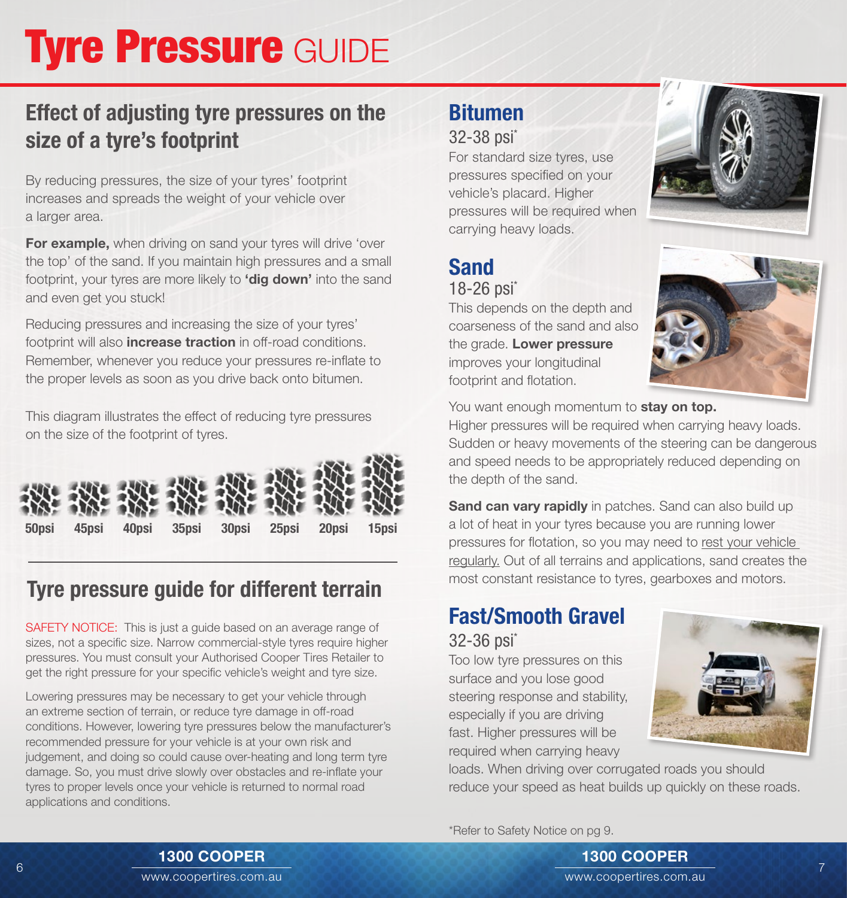# **Tyre Pressure GUIDE**

## Effect of adjusting tyre pressures on the size of a tyre's footprint

By reducing pressures, the size of your tyres' footprint increases and spreads the weight of your vehicle over a larger area.

For example, when driving on sand your tyres will drive 'over the top' of the sand. If you maintain high pressures and a small footprint, your tyres are more likely to **'dig down'** into the sand and even get you stuck!

Reducing pressures and increasing the size of your tyres' footprint will also **increase traction** in off-road conditions. Remember, whenever you reduce your pressures re-inflate to the proper levels as soon as you drive back onto bitumen.

This diagram illustrates the effect of reducing tyre pressures on the size of the footprint of tyres.



## Tyre pressure guide for different terrain

SAFETY NOTICE: This is just a guide based on an average range of sizes, not a specific size. Narrow commercial-style tyres require higher pressures. You must consult your Authorised Cooper Tires Retailer to get the right pressure for your specific vehicle's weight and tyre size.

Lowering pressures may be necessary to get your vehicle through an extreme section of terrain, or reduce tyre damage in off-road conditions. However, lowering tyre pressures below the manufacturer's recommended pressure for your vehicle is at your own risk and judgement, and doing so could cause over-heating and long term tyre damage. So, you must drive slowly over obstacles and re-inflate your tyres to proper levels once your vehicle is returned to normal road applications and conditions.

### Bitumen

#### 32-38 psi\*

For standard size tyres, use pressures specified on your vehicle's placard. Higher pressures will be required when carrying heavy loads.



# Sand

18-26 psi\*

This depends on the depth and coarseness of the sand and also the grade. Lower pressure improves your longitudinal footprint and flotation.



Higher pressures will be required when carrying heavy loads. Sudden or heavy movements of the steering can be dangerous and speed needs to be appropriately reduced depending on the depth of the sand.

**Sand can vary rapidly** in patches. Sand can also build up a lot of heat in your tyres because you are running lower pressures for flotation, so you may need to rest your vehicle regularly. Out of all terrains and applications, sand creates the most constant resistance to tyres, gearboxes and motors.

#### Fast/Smooth Gravel 32-36 psi<sup>\*</sup>

Too low tyre pressures on this surface and you lose good steering response and stability, especially if you are driving fast. Higher pressures will be required when carrying heavy



loads. When driving over corrugated roads you should reduce your speed as heat builds up quickly on these roads.

\*Refer to Safety Notice on pg 9.



#### 1300 COOPER

www.coopertires.com.au